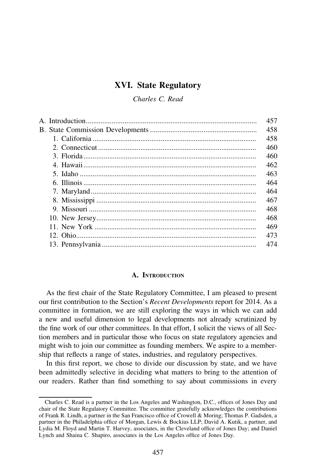# XVI. State Regulatory

Charles C. Read

|  | 457 |
|--|-----|
|  | 458 |
|  | 458 |
|  | 460 |
|  | 460 |
|  | 462 |
|  | 463 |
|  | 464 |
|  | 464 |
|  | 467 |
|  | 468 |
|  | 468 |
|  | 469 |
|  | 473 |
|  | 474 |
|  |     |

# A. INTRODUCTION

As the first chair of the State Regulatory Committee, I am pleased to present our first contribution to the Section's Recent Developments report for 2014. As a committee in formation, we are still exploring the ways in which we can add a new and useful dimension to legal developments not already scrutinized by the fine work of our other committees. In that effort, I solicit the views of all Section members and in particular those who focus on state regulatory agencies and might wish to join our committee as founding members. We aspire to a membership that reflects a range of states, industries, and regulatory perspectives.

In this first report, we chose to divide our discussion by state, and we have been admittedly selective in deciding what matters to bring to the attention of our readers. Rather than find something to say about commissions in every

Charles C. Read is a partner in the Los Angeles and Washington, D.C., offices of Jones Day and chair of the State Regulatory Committee. The committee gratefully acknowledges the contributions of Frank R. Lindh, a partner in the San Francisco office of Crowell & Moring; Thomas P. Gadsden, a partner in the Philadelphia office of Morgan, Lewis & Bockius LLP; David A. Kutik, a partner, and Lydia M. Floyd and Martin T. Harvey, associates, in the Cleveland office of Jones Day; and Daniel Lynch and Shaina C. Shapiro, associates in the Los Angeles office of Jones Day.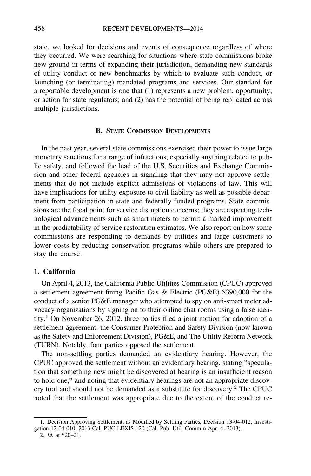state, we looked for decisions and events of consequence regardless of where they occurred. We were searching for situations where state commissions broke new ground in terms of expanding their jurisdiction, demanding new standards of utility conduct or new benchmarks by which to evaluate such conduct, or launching (or terminating) mandated programs and services. Our standard for a reportable development is one that (1) represents a new problem, opportunity, or action for state regulators; and (2) has the potential of being replicated across multiple jurisdictions.

### B. STATE COMMISSION DEVELOPMENTS

In the past year, several state commissions exercised their power to issue large monetary sanctions for a range of infractions, especially anything related to public safety, and followed the lead of the U.S. Securities and Exchange Commission and other federal agencies in signaling that they may not approve settlements that do not include explicit admissions of violations of law. This will have implications for utility exposure to civil liability as well as possible debarment from participation in state and federally funded programs. State commissions are the focal point for service disruption concerns; they are expecting technological advancements such as smart meters to permit a marked improvement in the predictability of service restoration estimates. We also report on how some commissions are responding to demands by utilities and large customers to lower costs by reducing conservation programs while others are prepared to stay the course.

### 1. California

On April 4, 2013, the California Public Utilities Commission (CPUC) approved a settlement agreement fining Pacific Gas & Electric (PG&E) \$390,000 for the conduct of a senior PG&E manager who attempted to spy on anti-smart meter advocacy organizations by signing on to their online chat rooms using a false identity.<sup>1</sup> On November 26, 2012, three parties filed a joint motion for adoption of a settlement agreement: the Consumer Protection and Safety Division (now known as the Safety and Enforcement Division), PG&E, and The Utility Reform Network (TURN). Notably, four parties opposed the settlement.

The non-settling parties demanded an evidentiary hearing. However, the CPUC approved the settlement without an evidentiary hearing, stating "speculation that something new might be discovered at hearing is an insufficient reason to hold one," and noting that evidentiary hearings are not an appropriate discovery tool and should not be demanded as a substitute for discovery.2 The CPUC noted that the settlement was appropriate due to the extent of the conduct re-

<sup>1.</sup> Decision Approving Settlement, as Modified by Settling Parties, Decision 13-04-012, Investigation 12-04-010, 2013 Cal. PUC LEXIS 120 (Cal. Pub. Util. Comm'n Apr. 4, 2013).

<sup>2.</sup> Id. at \*20–21.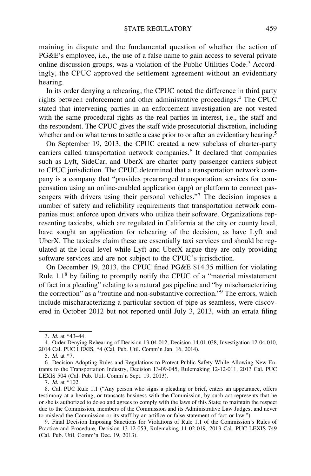maining in dispute and the fundamental question of whether the action of PG&E's employee, i.e., the use of a false name to gain access to several private online discussion groups, was a violation of the Public Utilities Code.3 Accordingly, the CPUC approved the settlement agreement without an evidentiary hearing.

In its order denying a rehearing, the CPUC noted the difference in third party rights between enforcement and other administrative proceedings.<sup>4</sup> The CPUC stated that intervening parties in an enforcement investigation are not vested with the same procedural rights as the real parties in interest, i.e., the staff and the respondent. The CPUC gives the staff wide prosecutorial discretion, including whether and on what terms to settle a case prior to or after an evidentiary hearing.<sup>5</sup>

On September 19, 2013, the CPUC created a new subclass of charter-party carriers called transportation network companies.<sup>6</sup> It declared that companies such as Lyft, SideCar, and UberX are charter party passenger carriers subject to CPUC jurisdiction. The CPUC determined that a transportation network company is a company that "provides prearranged transportation services for compensation using an online-enabled application (app) or platform to connect passengers with drivers using their personal vehicles."<sup>7</sup> The decision imposes a number of safety and reliability requirements that transportation network companies must enforce upon drivers who utilize their software. Organizations representing taxicabs, which are regulated in California at the city or county level, have sought an application for rehearing of the decision, as have Lyft and UberX. The taxicabs claim these are essentially taxi services and should be regulated at the local level while Lyft and UberX argue they are only providing software services and are not subject to the CPUC's jurisdiction.

On December 19, 2013, the CPUC fined PG&E \$14.35 million for violating Rule  $1.1<sup>8</sup>$  by failing to promptly notify the CPUC of a "material misstatement" of fact in a pleading" relating to a natural gas pipeline and "by mischaracterizing the correction" as a "routine and non-substantive correction."<sup>9</sup> The errors, which include mischaracterizing a particular section of pipe as seamless, were discovered in October 2012 but not reported until July 3, 2013, with an errata filing

7. Id. at \*102.

<sup>3.</sup> Id. at \*43–44.

<sup>4.</sup> Order Denying Rehearing of Decision 13-04-012, Decision 14-01-038, Investigation 12-04-010, 2014 Cal. PUC LEXIS, \*4 (Cal. Pub. Util. Comm'n Jan. 16, 2014).

<sup>5.</sup> Id. at \*7.

<sup>6.</sup> Decision Adopting Rules and Regulations to Protect Public Safety While Allowing New Entrants to the Transportation Industry, Decision 13-09-045, Rulemaking 12-12-011, 2013 Cal. PUC LEXIS 504 (Cal. Pub. Util. Comm'n Sept. 19, 2013).

<sup>8.</sup> Cal. PUC Rule 1.1 ("Any person who signs a pleading or brief, enters an appearance, offers testimony at a hearing, or transacts business with the Commission, by such act represents that he or she is authorized to do so and agrees to comply with the laws of this State; to maintain the respect due to the Commission, members of the Commission and its Administrative Law Judges; and never to mislead the Commission or its staff by an artifice or false statement of fact or law.").

<sup>9.</sup> Final Decision Imposing Sanctions for Violations of Rule 1.1 of the Commission's Rules of Practice and Procedure, Decision 13-12-053, Rulemaking 11-02-019, 2013 Cal. PUC LEXIS 749 (Cal. Pub. Util. Comm'n Dec. 19, 2013).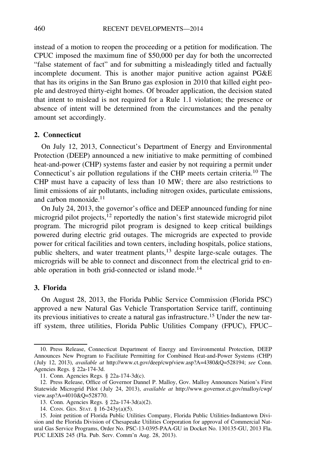instead of a motion to reopen the proceeding or a petition for modification. The CPUC imposed the maximum fine of \$50,000 per day for both the uncorrected "false statement of fact" and for submitting a misleadingly titled and factually incomplete document. This is another major punitive action against PG&E that has its origins in the San Bruno gas explosion in 2010 that killed eight people and destroyed thirty-eight homes. Of broader application, the decision stated that intent to mislead is not required for a Rule 1.1 violation; the presence or absence of intent will be determined from the circumstances and the penalty amount set accordingly.

### 2. Connecticut

On July 12, 2013, Connecticut's Department of Energy and Environmental Protection (DEEP) announced a new initiative to make permitting of combined heat-and-power (CHP) systems faster and easier by not requiring a permit under Connecticut's air pollution regulations if the CHP meets certain criteria.<sup>10</sup> The CHP must have a capacity of less than 10 MW; there are also restrictions to limit emissions of air pollutants, including nitrogen oxides, particulate emissions, and carbon monoxide.<sup>11</sup>

On July 24, 2013, the governor's office and DEEP announced funding for nine microgrid pilot projects,<sup>12</sup> reportedly the nation's first statewide microgrid pilot program. The microgrid pilot program is designed to keep critical buildings powered during electric grid outages. The microgrids are expected to provide power for critical facilities and town centers, including hospitals, police stations, public shelters, and water treatment plants,<sup>13</sup> despite large-scale outages. The microgrids will be able to connect and disconnect from the electrical grid to enable operation in both grid-connected or island mode.<sup>14</sup>

# 3. Florida

On August 28, 2013, the Florida Public Service Commission (Florida PSC) approved a new Natural Gas Vehicle Transportation Service tariff, continuing its previous initiatives to create a natural gas infrastructure.<sup>15</sup> Under the new tariff system, three utilities, Florida Public Utilities Company (FPUC), FPUC–

<sup>10.</sup> Press Release, Connecticut Department of Energy and Environmental Protection, DEEP Announces New Program to Facilitate Permitting for Combined Heat-and-Power Systems (CHP) ( July 12, 2013), available at http://www.ct.gov/deep/cwp/view.asp?A=4380&Q=528194; see Conn. Agencies Regs. § 22a-174-3d.

<sup>11.</sup> Conn. Agencies Regs. § 22a-174-3d(c).

<sup>12.</sup> Press Release, Office of Governor Dannel P. Malloy, Gov. Malloy Announces Nation's First Statewide Microgrid Pilot ( July 24, 2013), available at http://www.governor.ct.gov/malloy/cwp/ view.asp?A=4010&Q=528770.

<sup>13.</sup> Conn. Agencies Regs. § 22a-174-3d(a)(2).

<sup>14.</sup> CONN. GEN. STAT. § 16-243y(a)(5).

<sup>15.</sup> Joint petition of Florida Public Utilities Company, Florida Public Utilities-Indiantown Division and the Florida Division of Chesapeake Utilities Corporation for approval of Commercial Natural Gas Service Programs, Order No. PSC-13-0395-PAA-GU in Docket No. 130135-GU, 2013 Fla. PUC LEXIS 245 (Fla. Pub. Serv. Comm'n Aug. 28, 2013).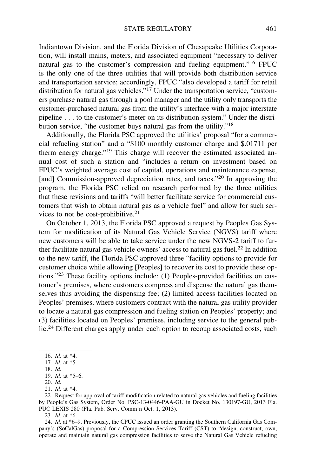Indiantown Division, and the Florida Division of Chesapeake Utilities Corporation, will install mains, meters, and associated equipment "necessary to deliver natural gas to the customer's compression and fueling equipment."16 FPUC is the only one of the three utilities that will provide both distribution service and transportation service; accordingly, FPUC "also developed a tariff for retail distribution for natural gas vehicles."17 Under the transportation service, "customers purchase natural gas through a pool manager and the utility only transports the customer-purchased natural gas from the utility's interface with a major interstate pipeline . . . to the customer's meter on its distribution system." Under the distribution service, "the customer buys natural gas from the utility."18

Additionally, the Florida PSC approved the utilities' proposal "for a commercial refueling station" and a "\$100 monthly customer charge and \$.01711 per therm energy charge."<sup>19</sup> This charge will recover the estimated associated annual cost of such a station and "includes a return on investment based on FPUC's weighted average cost of capital, operations and maintenance expense, [and] Commission-approved depreciation rates, and taxes."<sup>20</sup> In approving the program, the Florida PSC relied on research performed by the three utilities that these revisions and tariffs "will better facilitate service for commercial customers that wish to obtain natural gas as a vehicle fuel" and allow for such services to not be cost-prohibitive. $21$ 

On October 1, 2013, the Florida PSC approved a request by Peoples Gas System for modification of its Natural Gas Vehicle Service (NGVS) tariff where new customers will be able to take service under the new NGVS-2 tariff to further facilitate natural gas vehicle owners' access to natural gas fuel.<sup>22</sup> In addition to the new tariff, the Florida PSC approved three "facility options to provide for customer choice while allowing [Peoples] to recover its cost to provide these options."<sup>23</sup> These facility options include: (1) Peoples-provided facilities on customer's premises, where customers compress and dispense the natural gas themselves thus avoiding the dispensing fee; (2) limited access facilities located on Peoples' premises, where customers contract with the natural gas utility provider to locate a natural gas compression and fueling station on Peoples' property; and (3) facilities located on Peoples' premises, including service to the general public.<sup>24</sup> Different charges apply under each option to recoup associated costs, such

23. Id. at \*6.

<sup>16.</sup> Id. at \*4.

<sup>17.</sup> Id. at \*5.

<sup>18.</sup> Id.

<sup>19.</sup> Id. at \*5–6.

<sup>20.</sup> Id.

<sup>21.</sup> Id. at \*4.

<sup>22.</sup> Request for approval of tariff modification related to natural gas vehicles and fueling facilities by People's Gas System, Order No. PSC-13-0446-PAA-GU in Docket No. 130197-GU, 2013 Fla. PUC LEXIS 280 (Fla. Pub. Serv. Comm'n Oct. 1, 2013).

<sup>24.</sup> Id. at \*6–9. Previously, the CPUC issued an order granting the Southern California Gas Company's (SoCalGas) proposal for a Compression Services Tariff (CST) to "design, construct, own, operate and maintain natural gas compression facilities to serve the Natural Gas Vehicle refueling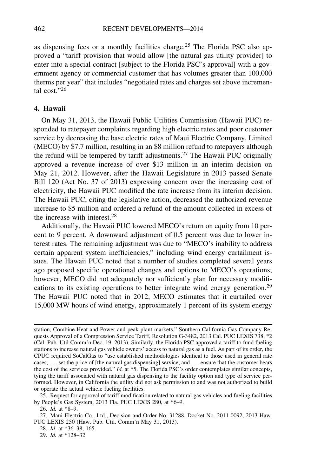as dispensing fees or a monthly facilities charge.<sup>25</sup> The Florida PSC also approved a "tariff provision that would allow [the natural gas utility provider] to enter into a special contract [subject to the Florida PSC's approval] with a government agency or commercial customer that has volumes greater than 100,000 therms per year" that includes "negotiated rates and charges set above incremental cost<sup>"26</sup>

# 4. Hawaii

On May 31, 2013, the Hawaii Public Utilities Commission (Hawaii PUC) responded to ratepayer complaints regarding high electric rates and poor customer service by decreasing the base electric rates of Maui Electric Company, Limited (MECO) by \$7.7 million, resulting in an \$8 million refund to ratepayers although the refund will be tempered by tariff adjustments.<sup>27</sup> The Hawaii PUC originally approved a revenue increase of over \$13 million in an interim decision on May 21, 2012. However, after the Hawaii Legislature in 2013 passed Senate Bill 120 (Act No. 37 of 2013) expressing concern over the increasing cost of electricity, the Hawaii PUC modified the rate increase from its interim decision. The Hawaii PUC, citing the legislative action, decreased the authorized revenue increase to \$5 million and ordered a refund of the amount collected in excess of the increase with interest.<sup>28</sup>

Additionally, the Hawaii PUC lowered MECO's return on equity from 10 percent to 9 percent. A downward adjustment of 0.5 percent was due to lower interest rates. The remaining adjustment was due to "MECO's inability to address certain apparent system inefficiencies," including wind energy curtailment issues. The Hawaii PUC noted that a number of studies completed several years ago proposed specific operational changes and options to MECO's operations; however, MECO did not adequately nor sufficiently plan for necessary modifications to its existing operations to better integrate wind energy generation.<sup>29</sup> The Hawaii PUC noted that in 2012, MECO estimates that it curtailed over 15,000 MW hours of wind energy, approximately 1 percent of its system energy

28. Id. at \*36–38, 165.

station, Combine Heat and Power and peak plant markets." Southern California Gas Company Requests Approval of a Compression Service Tariff, Resolution G-3482, 2013 Cal. PUC LEXIS 738, \*2 (Cal. Pub. Util Comm'n Dec. 19, 2013). Similarly, the Florida PSC approved a tariff to fund fueling stations to increase natural gas vehicle owners' access to natural gas as a fuel. As part of its order, the CPUC required SoCalGas to "use established methodologies identical to those used in general rate cases, . . . set the price of [the natural gas dispensing] service, and . . . ensure that the customer bears the cost of the services provided." Id. at \*5. The Florida PSC's order contemplates similar concepts, tying the tariff associated with natural gas dispensing to the facility option and type of service performed. However, in California the utility did not ask permission to and was not authorized to build or operate the actual vehicle fueling facilities.

<sup>25.</sup> Request for approval of tariff modification related to natural gas vehicles and fueling facilities by People's Gas System, 2013 Fla. PUC LEXIS 280, at \*6–9.

<sup>26.</sup>  $\hat{Id}$ . at \*8-9.

<sup>27.</sup> Maui Electric Co., Ltd., Decision and Order No. 31288, Docket No. 2011-0092, 2013 Haw. PUC LEXIS 250 (Haw. Pub. Util. Comm'n May 31, 2013).

<sup>29.</sup> Id. at \*128–32.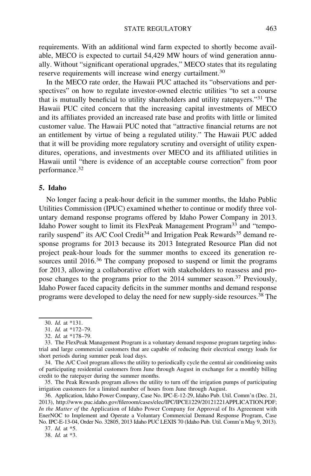requirements. With an additional wind farm expected to shortly become available, MECO is expected to curtail 54,429 MW hours of wind generation annually. Without "significant operational upgrades," MECO states that its regulating reserve requirements will increase wind energy curtailment.<sup>30</sup>

In the MECO rate order, the Hawaii PUC attached its "observations and perspectives" on how to regulate investor-owned electric utilities "to set a course that is mutually beneficial to utility shareholders and utility ratepayers."<sup>31</sup> The Hawaii PUC cited concern that the increasing capital investments of MECO and its affiliates provided an increased rate base and profits with little or limited customer value. The Hawaii PUC noted that "attractive financial returns are not an entitlement by virtue of being a regulated utility." The Hawaii PUC added that it will be providing more regulatory scrutiny and oversight of utility expenditures, operations, and investments over MECO and its affiliated utilities in Hawaii until "there is evidence of an acceptable course correction" from poor performance.32

## 5. Idaho

No longer facing a peak-hour deficit in the summer months, the Idaho Public Utilities Commission (IPUC) examined whether to continue or modify three voluntary demand response programs offered by Idaho Power Company in 2013. Idaho Power sought to limit its FlexPeak Management Program<sup>33</sup> and "temporarily suspend" its A/C Cool Credit<sup>34</sup> and Irrigation Peak Rewards<sup>35</sup> demand response programs for 2013 because its 2013 Integrated Resource Plan did not project peak-hour loads for the summer months to exceed its generation resources until 2016.<sup>36</sup> The company proposed to suspend or limit the programs for 2013, allowing a collaborative effort with stakeholders to reassess and propose changes to the programs prior to the 2014 summer season.<sup>37</sup> Previously, Idaho Power faced capacity deficits in the summer months and demand response programs were developed to delay the need for new supply-side resources.<sup>38</sup> The

35. The Peak Rewards program allows the utility to turn off the irrigation pumps of participating irrigation customers for a limited number of hours from June through August.

36. Application, Idaho Power Company, Case No. IPC-E-12-29, Idaho Pub. Util. Comm'n (Dec. 21, 2013), http://www.puc.idaho.gov/fileroom/cases/elec/IPC/IPCE1229/20121221APPLICATION.PDF; In the Matter of the Application of Idaho Power Company for Approval of Its Agreement with EnerNOC to Implement and Operate a Voluntary Commercial Demand Response Program, Case No. IPC-E-13-04, Order No. 32805, 2013 Idaho PUC LEXIS 70 (Idaho Pub. Util. Comm'n May 9, 2013).

37. Id. at \*5.

38. Id. at \*3.

<sup>30.</sup> Id. at \*131.

<sup>31.</sup> Id. at \*172–79.

<sup>32.</sup> Id. at \*178–79.

<sup>33.</sup> The FlexPeak Management Program is a voluntary demand response program targeting industrial and large commercial customers that are capable of reducing their electrical energy loads for short periods during summer peak load days.

<sup>34.</sup> The A/C Cool program allows the utility to periodically cycle the central air conditioning units of participating residential customers from June through August in exchange for a monthly billing credit to the ratepayer during the summer months.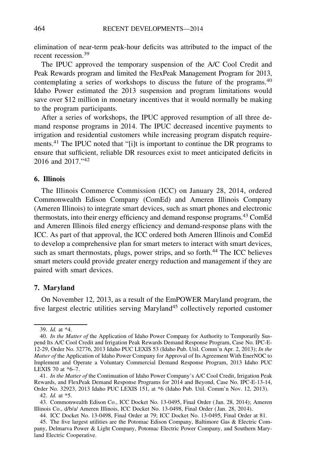elimination of near-term peak-hour deficits was attributed to the impact of the recent recession.<sup>39</sup>

The IPUC approved the temporary suspension of the A/C Cool Credit and Peak Rewards program and limited the FlexPeak Management Program for 2013, contemplating a series of workshops to discuss the future of the programs.<sup>40</sup> Idaho Power estimated the 2013 suspension and program limitations would save over \$12 million in monetary incentives that it would normally be making to the program participants.

After a series of workshops, the IPUC approved resumption of all three demand response programs in 2014. The IPUC decreased incentive payments to irrigation and residential customers while increasing program dispatch requirements.<sup>41</sup> The IPUC noted that "[i]t is important to continue the DR programs to ensure that sufficient, reliable DR resources exist to meet anticipated deficits in 2016 and 2017."<sup>42</sup>

# 6. Illinois

The Illinois Commerce Commission (ICC) on January 28, 2014, ordered Commonwealth Edison Company (ComEd) and Ameren Illinois Company (Ameren Illinois) to integrate smart devices, such as smart phones and electronic thermostats, into their energy efficiency and demand response programs.<sup>43</sup> ComEd and Ameren Illinois filed energy efficiency and demand-response plans with the ICC. As part of that approval, the ICC ordered both Ameren Illinois and ComEd to develop a comprehensive plan for smart meters to interact with smart devices, such as smart thermostats, plugs, power strips, and so forth.<sup>44</sup> The ICC believes smart meters could provide greater energy reduction and management if they are paired with smart devices.

# 7. Maryland

On November 12, 2013, as a result of the EmPOWER Maryland program, the five largest electric utilities serving Maryland<sup>45</sup> collectively reported customer

<sup>39.</sup> Id. at \*4.

<sup>40.</sup> In the Matter of the Application of Idaho Power Company for Authority to Temporarily Suspend Its A/C Cool Credit and Irrigation Peak Rewards Demand Response Program, Case No. IPC-E-12-29, Order No. 32776, 2013 Idaho PUC LEXIS 53 (Idaho Pub. Util. Comm'n Apr. 2, 2013); In the Matter of the Application of Idaho Power Company for Approval of Its Agreement With EnerNOC to Implement and Operate a Voluntary Commercial Demand Response Program, 2013 Idaho PUC LEXIS 70 at \*6–7.

<sup>41.</sup> In the Matter of the Continuation of Idaho Power Company's A/C Cool Credit, Irrigation Peak Rewards, and FlexPeak Demand Response Programs for 2014 and Beyond, Case No. IPC-E-13-14, Order No. 32923, 2013 Idaho PUC LEXIS 151, at \*6 (Idaho Pub. Util. Comm'n Nov. 12, 2013).

<sup>42.</sup> Id. at \*5.

<sup>43.</sup> Commonwealth Edison Co., ICC Docket No. 13-0495, Final Order ( Jan. 28, 2014); Ameren Illinois Co., d/b/a/ Ameren Illinois, ICC Docket No. 13-0498, Final Order ( Jan. 28, 2014).

<sup>44.</sup> ICC Docket No. 13-0498, Final Order at 79; ICC Docket No. 13-0495, Final Order at 81.

<sup>45.</sup> The five largest utilities are the Potomac Edison Company, Baltimore Gas & Electric Company, Delmarva Power & Light Company, Potomac Electric Power Company, and Southern Maryland Electric Cooperative.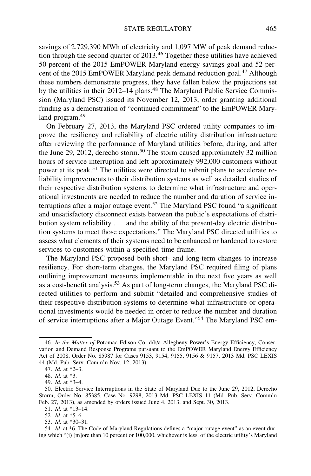savings of 2,729,390 MWh of electricity and 1,097 MW of peak demand reduction through the second quarter of 2013.<sup>46</sup> Together these utilities have achieved 50 percent of the 2015 EmPOWER Maryland energy savings goal and 52 percent of the 2015 EmPOWER Maryland peak demand reduction goal.<sup>47</sup> Although these numbers demonstrate progress, they have fallen below the projections set by the utilities in their 2012–14 plans.<sup>48</sup> The Maryland Public Service Commission (Maryland PSC) issued its November 12, 2013, order granting additional funding as a demonstration of "continued commitment" to the EmPOWER Maryland program.<sup>49</sup>

On February 27, 2013, the Maryland PSC ordered utility companies to improve the resiliency and reliability of electric utility distribution infrastructure after reviewing the performance of Maryland utilities before, during, and after the June 29, 2012, derecho storm.<sup>50</sup> The storm caused approximately 32 million hours of service interruption and left approximately 992,000 customers without power at its peak.<sup>51</sup> The utilities were directed to submit plans to accelerate reliability improvements to their distribution systems as well as detailed studies of their respective distribution systems to determine what infrastructure and operational investments are needed to reduce the number and duration of service interruptions after a major outage event.<sup>52</sup> The Maryland PSC found "a significant and unsatisfactory disconnect exists between the public's expectations of distribution system reliability . . . and the ability of the present-day electric distribution systems to meet those expectations." The Maryland PSC directed utilities to assess what elements of their systems need to be enhanced or hardened to restore services to customers within a specified time frame.

The Maryland PSC proposed both short- and long-term changes to increase resiliency. For short-term changes, the Maryland PSC required filing of plans outlining improvement measures implementable in the next five years as well as a cost-benefit analysis.<sup>53</sup> As part of long-term changes, the Maryland PSC directed utilities to perform and submit "detailed and comprehensive studies of their respective distribution systems to determine what infrastructure or operational investments would be needed in order to reduce the number and duration of service interruptions after a Major Outage Event."<sup>54</sup> The Maryland PSC em-

<sup>46.</sup> In the Matter of Potomac Edison Co. d/b/a Allegheny Power's Energy Efficiency, Conservation and Demand Response Programs pursuant to the EmPOWER Maryland Energy Efficiency Act of 2008, Order No. 85987 for Cases 9153, 9154, 9155, 9156 & 9157, 2013 Md. PSC LEXIS 44 (Md. Pub. Serv. Comm'n Nov. 12, 2013).

<sup>47.</sup> Id. at \*2–3.

<sup>48.</sup> Id. at \*3.

<sup>49.</sup> Id. at \*3–4.

<sup>50.</sup> Electric Service Interruptions in the State of Maryland Due to the June 29, 2012, Derecho Storm, Order No. 85385, Case No. 9298, 2013 Md. PSC LEXIS 11 (Md. Pub. Serv. Comm'n Feb. 27, 2013), as amended by orders issued June 4, 2013, and Sept. 30, 2013.

<sup>51.</sup> Id. at \*13–14.

<sup>52.</sup> Id. at \*5–6.

<sup>53.</sup> Id. at \*30–31.

<sup>54.</sup> Id. at \*6. The Code of Maryland Regulations defines a "major outage event" as an event during which "(i) [m]ore than 10 percent or 100,000, whichever is less, of the electric utility's Maryland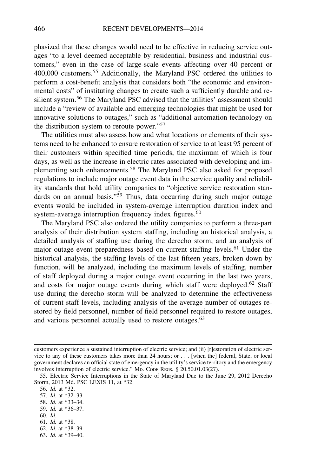phasized that these changes would need to be effective in reducing service outages "to a level deemed acceptable by residential, business and industrial customers," even in the case of large-scale events affecting over 40 percent or 400,000 customers.<sup>55</sup> Additionally, the Maryland PSC ordered the utilities to perform a cost-benefit analysis that considers both "the economic and environmental costs" of instituting changes to create such a sufficiently durable and resilient system.<sup>56</sup> The Maryland PSC advised that the utilities' assessment should include a "review of available and emerging technologies that might be used for innovative solutions to outages," such as "additional automation technology on the distribution system to reroute power."<sup>57</sup>

The utilities must also assess how and what locations or elements of their systems need to be enhanced to ensure restoration of service to at least 95 percent of their customers within specified time periods, the maximum of which is four days, as well as the increase in electric rates associated with developing and implementing such enhancements.<sup>58</sup> The Maryland PSC also asked for proposed regulations to include major outage event data in the service quality and reliability standards that hold utility companies to "objective service restoration standards on an annual basis."<sup>59</sup> Thus, data occurring during such major outage events would be included in system-average interruption duration index and system-average interruption frequency index figures.<sup>60</sup>

The Maryland PSC also ordered the utility companies to perform a three-part analysis of their distribution system staffing, including an historical analysis, a detailed analysis of staffing use during the derecho storm, and an analysis of major outage event preparedness based on current staffing levels.61 Under the historical analysis, the staffing levels of the last fifteen years, broken down by function, will be analyzed, including the maximum levels of staffing, number of staff deployed during a major outage event occurring in the last two years, and costs for major outage events during which staff were deployed.<sup>62</sup> Staff use during the derecho storm will be analyzed to determine the effectiveness of current staff levels, including analysis of the average number of outages restored by field personnel, number of field personnel required to restore outages, and various personnel actually used to restore outages.<sup>63</sup>

- 57. Id. at \*32–33.
- 58. Id. at \*33–34.
- 59. Id. at \*36–37.

- 61. Id. at \*38.
- 62. Id. at \*38–39.
- 63. Id. at \*39–40.

customers experience a sustained interruption of electric service; and (ii) [r]estoration of electric service to any of these customers takes more than 24 hours; or . . . [when the] federal, State, or local government declares an official state of emergency in the utility's service territory and the emergency involves interruption of electric service." MD. CODE REGS. § 20.50.01.03(27).

<sup>55.</sup> Electric Service Interruptions in the State of Maryland Due to the June 29, 2012 Derecho Storm, 2013 Md. PSC LEXIS 11, at \*32.

<sup>56.</sup> Id. at \*32.

<sup>60.</sup> Id.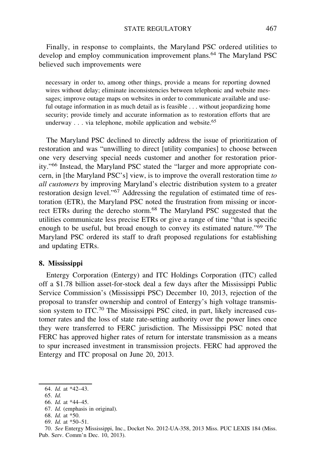Finally, in response to complaints, the Maryland PSC ordered utilities to develop and employ communication improvement plans.<sup>64</sup> The Maryland PSC believed such improvements were

necessary in order to, among other things, provide a means for reporting downed wires without delay; eliminate inconsistencies between telephonic and website messages; improve outage maps on websites in order to communicate available and useful outage information in as much detail as is feasible . . . without jeopardizing home security; provide timely and accurate information as to restoration efforts that are underway . . . via telephone, mobile application and website.<sup>65</sup>

The Maryland PSC declined to directly address the issue of prioritization of restoration and was "unwilling to direct [utility companies] to choose between one very deserving special needs customer and another for restoration priority."<sup>66</sup> Instead, the Maryland PSC stated the "larger and more appropriate concern, in [the Maryland PSC's] view, is to improve the overall restoration time to all customers by improving Maryland's electric distribution system to a greater restoration design level."<sup>67</sup> Addressing the regulation of estimated time of restoration (ETR), the Maryland PSC noted the frustration from missing or incorrect ETRs during the derecho storm.<sup>68</sup> The Maryland PSC suggested that the utilities communicate less precise ETRs or give a range of time "that is specific enough to be useful, but broad enough to convey its estimated nature."<sup>69</sup> The Maryland PSC ordered its staff to draft proposed regulations for establishing and updating ETRs.

### 8. Mississippi

Entergy Corporation (Entergy) and ITC Holdings Corporation (ITC) called off a \$1.78 billion asset-for-stock deal a few days after the Mississippi Public Service Commission's (Mississippi PSC) December 10, 2013, rejection of the proposal to transfer ownership and control of Entergy's high voltage transmission system to ITC.70 The Mississippi PSC cited, in part, likely increased customer rates and the loss of state rate-setting authority over the power lines once they were transferred to FERC jurisdiction. The Mississippi PSC noted that FERC has approved higher rates of return for interstate transmission as a means to spur increased investment in transmission projects. FERC had approved the Entergy and ITC proposal on June 20, 2013.

- 65. Id.
- 66. Id. at \*44–45.
- 67. Id. (emphasis in original).
- 68. Id. at \*50.
- 69. Id. at \*50–51.

70. See Entergy Mississippi, Inc., Docket No. 2012-UA-358, 2013 Miss. PUC LEXIS 184 (Miss. Pub. Serv. Comm'n Dec. 10, 2013).

<sup>64.</sup> Id. at \*42–43.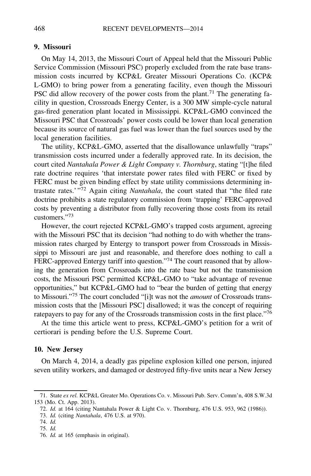## 9. Missouri

On May 14, 2013, the Missouri Court of Appeal held that the Missouri Public Service Commission (Missouri PSC) properly excluded from the rate base transmission costs incurred by KCP&L Greater Missouri Operations Co. (KCP& L-GMO) to bring power from a generating facility, even though the Missouri PSC did allow recovery of the power costs from the plant.<sup>71</sup> The generating facility in question, Crossroads Energy Center, is a 300 MW simple-cycle natural gas-fired generation plant located in Mississippi. KCP&L-GMO convinced the Missouri PSC that Crossroads' power costs could be lower than local generation because its source of natural gas fuel was lower than the fuel sources used by the local generation facilities.

The utility, KCP&L-GMO, asserted that the disallowance unlawfully "traps" transmission costs incurred under a federally approved rate. In its decision, the court cited Nantahala Power & Light Company v. Thornburg, stating "[t]he filed rate doctrine requires 'that interstate power rates filed with FERC or fixed by FERC must be given binding effect by state utility commissions determining intrastate rates.' "<sup>72</sup> Again citing Nantahala, the court stated that "the filed rate doctrine prohibits a state regulatory commission from 'trapping' FERC-approved costs by preventing a distributor from fully recovering those costs from its retail customers."73

However, the court rejected KCP&L-GMO's trapped costs argument, agreeing with the Missouri PSC that its decision "had nothing to do with whether the transmission rates charged by Entergy to transport power from Crossroads in Mississippi to Missouri are just and reasonable, and therefore does nothing to call a FERC-approved Entergy tariff into question."74 The court reasoned that by allowing the generation from Crossroads into the rate base but not the transmission costs, the Missouri PSC permitted KCP&L-GMO to "take advantage of revenue opportunities," but KCP&L-GMO had to "bear the burden of getting that energy to Missouri."<sup>75</sup> The court concluded "[i]t was not the *amount* of Crossroads transmission costs that the [Missouri PSC] disallowed; it was the concept of requiring ratepayers to pay for any of the Crossroads transmission costs in the first place."76

At the time this article went to press, KCP&L-GMO's petition for a writ of certiorari is pending before the U.S. Supreme Court.

### 10. New Jersey

On March 4, 2014, a deadly gas pipeline explosion killed one person, injured seven utility workers, and damaged or destroyed fifty-five units near a New Jersey

<sup>71.</sup> State ex rel. KCP&L Greater Mo. Operations Co. v. Missouri Pub. Serv. Comm'n, 408 S.W.3d 153 (Mo. Ct. App. 2013).

<sup>72.</sup> Id. at 164 (citing Nantahala Power & Light Co. v. Thornburg, 476 U.S. 953, 962 (1986)).

<sup>73.</sup> Id. (citing Nantahala, 476 U.S. at 970).

<sup>74.</sup> Id.

<sup>75.</sup> Id.

<sup>76.</sup> Id. at 165 (emphasis in original).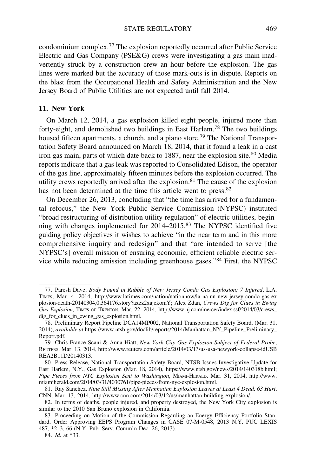condominium complex.<sup>77</sup> The explosion reportedly occurred after Public Service Electric and Gas Company (PSE&G) crews were investigating a gas main inadvertently struck by a construction crew an hour before the explosion. The gas lines were marked but the accuracy of those mark-outs is in dispute. Reports on the blast from the Occupational Health and Safety Administration and the New Jersey Board of Public Utilities are not expected until fall 2014.

# 11. New York

On March 12, 2014, a gas explosion killed eight people, injured more than forty-eight, and demolished two buildings in East Harlem.<sup>78</sup> The two buildings housed fifteen apartments, a church, and a piano store.<sup>79</sup> The National Transportation Safety Board announced on March 18, 2014, that it found a leak in a cast iron gas main, parts of which date back to 1887, near the explosion site.<sup>80</sup> Media reports indicate that a gas leak was reported to Consolidated Edison, the operator of the gas line, approximately fifteen minutes before the explosion occurred. The utility crews reportedly arrived after the explosion.<sup>81</sup> The cause of the explosion has not been determined at the time this article went to press.<sup>82</sup>

On December 26, 2013, concluding that "the time has arrived for a fundamental refocus," the New York Public Service Commission (NYPSC) instituted "broad restructuring of distribution utility regulation" of electric utilities, beginning with changes implemented for 2014–2015.<sup>83</sup> The NYPSC identified five guiding policy objectives it wishes to achieve "in the near term and in this more comprehensive inquiry and redesign" and that "are intended to serve [the NYPSC's] overall mission of ensuring economic, efficient reliable electric service while reducing emission including greenhouse gases."<sup>84</sup> First, the NYPSC

<sup>77.</sup> Paresh Dave, Body Found in Rubble of New Jersey Condo Gas Explosion; 7 Injured, L.A. TIMES, Mar. 4, 2014, http://www.latimes.com/nation/nationnow/la-na-nn-new-jersey-condo-gas-ex plosion-death-20140304,0,364176.story?axzz2xajekomY; Alex Zdan, Crews Dig for Clues in Ewing Gas Explosion, TIMES OF TRENTON, Mar. 22, 2014, http://www.nj.com/mercer/index.ssf/2014/03/crews dig\_for\_clues\_in\_ewing\_gas\_explosion.html.

<sup>78.</sup> Preliminary Report Pipeline DCA14MP002, National Transportation Safety Board. (Mar. 31, 2014), available at https://www.ntsb.gov/doclib/reports/2014/Manhattan\_NY\_Pipeline\_Preliminary\_ Report.pdf.

<sup>79.</sup> Chris France Scani & Anna Hiatt, New York City Gas Explosion Subject of Federal Probe, REUTERS, Mar. 13, 2014, http://www.reuters.com/article/2014/03/13/us-usa-newyork-collapse-idUSB REA2B11D20140313.

<sup>80.</sup> Press Release, National Transportation Safety Board, NTSB Issues Investigative Update for East Harlem, N.Y., Gas Explosion (Mar. 18, 2014), https://www.ntsb.gov/news/2014/140318b.html; Pipe Pieces from NYC Explosion Sent to Washington, MIAMI-HERALD, Mar. 31, 2014, http://www. miamiherald.com/2014/03/31/4030761/pipe-pieces-from-nyc-explosion.html.

<sup>81.</sup> Ray Sanchez, Nine Still Missing After Manhattan Explosion Leaves at Least 4 Dead, 63 Hurt, CNN, Mar. 13, 2014, http://www.cnn.com/2014/03/12/us/manhattan-building-explosion/.

<sup>82.</sup> In terms of deaths, people injured, and property destroyed, the New York City explosion is similar to the 2010 San Bruno explosion in California.

<sup>83.</sup> Proceeding on Motion of the Commission Regarding an Energy Efficiency Portfolio Standard, Order Approving EEPS Program Changes in CASE 07-M-0548, 2013 N.Y. PUC LEXIS 487, \*2–3, 66 (N.Y. Pub. Serv. Comm'n Dec. 26, 2013).

<sup>84.</sup> Id. at \*33.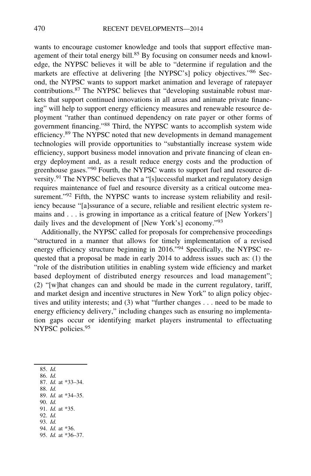wants to encourage customer knowledge and tools that support effective management of their total energy bill.<sup>85</sup> By focusing on consumer needs and knowledge, the NYPSC believes it will be able to "determine if regulation and the markets are effective at delivering [the NYPSC's] policy objectives."<sup>86</sup> Second, the NYPSC wants to support market animation and leverage of ratepayer contributions.<sup>87</sup> The NYPSC believes that "developing sustainable robust markets that support continued innovations in all areas and animate private financing" will help to support energy efficiency measures and renewable resource deployment "rather than continued dependency on rate payer or other forms of government financing."<sup>88</sup> Third, the NYPSC wants to accomplish system wide efficiency.<sup>89</sup> The NYPSC noted that new developments in demand management technologies will provide opportunities to "substantially increase system wide efficiency, support business model innovation and private financing of clean energy deployment and, as a result reduce energy costs and the production of greenhouse gases."<sup>90</sup> Fourth, the NYPSC wants to support fuel and resource diversity.<sup>91</sup> The NYPSC believes that a "[s]uccessful market and regulatory design requires maintenance of fuel and resource diversity as a critical outcome measurement."<sup>92</sup> Fifth, the NYPSC wants to increase system reliability and resiliency because "[a]ssurance of a secure, reliable and resilient electric system remains and . . . is growing in importance as a critical feature of [New Yorkers'] daily lives and the development of [New York's] economy."<sup>93</sup>

Additionally, the NYPSC called for proposals for comprehensive proceedings "structured in a manner that allows for timely implementation of a revised energy efficiency structure beginning in 2016."<sup>94</sup> Specifically, the NYPSC requested that a proposal be made in early 2014 to address issues such as: (1) the "role of the distribution utilities in enabling system wide efficiency and market based deployment of distributed energy resources and load management"; (2) "[w]hat changes can and should be made in the current regulatory, tariff, and market design and incentive structures in New York" to align policy objectives and utility interests; and (3) what "further changes . . . need to be made to energy efficiency delivery," including changes such as ensuring no implementation gaps occur or identifying market players instrumental to effectuating NYPSC policies.<sup>95</sup>

- 86. Id.
- 87. Id. at \*33–34. 88. Id.
- 89. Id. at \*34–35.
- 90. Id.
- 91. Id. at \*35.
- 92. Id.
- 93. Id.
- 94. Id. at \*36.
- 95. Id. at \*36–37.

<sup>85.</sup> Id.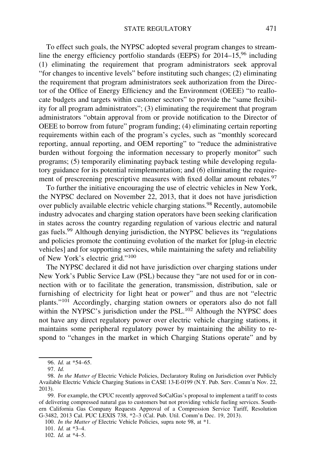To effect such goals, the NYPSC adopted several program changes to streamline the energy efficiency portfolio standards (EEPS) for  $2014-15$ ,  $96$  including (1) eliminating the requirement that program administrators seek approval "for changes to incentive levels" before instituting such changes; (2) eliminating the requirement that program administrators seek authorization from the Director of the Office of Energy Efficiency and the Environment (OEEE) "to reallocate budgets and targets within customer sectors" to provide the "same flexibility for all program administrators"; (3) eliminating the requirement that program administrators "obtain approval from or provide notification to the Director of OEEE to borrow from future" program funding; (4) eliminating certain reporting requirements within each of the program's cycles, such as "monthly scorecard reporting, annual reporting, and OEM reporting" to "reduce the administrative burden without forgoing the information necessary to properly monitor" such programs; (5) temporarily eliminating payback testing while developing regulatory guidance for its potential reimplementation; and (6) eliminating the requirement of prescreening prescriptive measures with fixed dollar amount rebates.<sup>97</sup>

To further the initiative encouraging the use of electric vehicles in New York, the NYPSC declared on November 22, 2013, that it does not have jurisdiction over publicly available electric vehicle charging stations.<sup>98</sup> Recently, automobile industry advocates and charging station operators have been seeking clarification in states across the country regarding regulation of various electric and natural gas fuels.<sup>99</sup> Although denying jurisdiction, the NYPSC believes its "regulations and policies promote the continuing evolution of the market for [plug-in electric vehicles] and for supporting services, while maintaining the safety and reliability of New York's electric grid."<sup>100</sup>

The NYPSC declared it did not have jurisdiction over charging stations under New York's Public Service Law (PSL) because they "are not used for or in connection with or to facilitate the generation, transmission, distribution, sale or furnishing of electricity for light heat or power" and thus are not "electric plants."<sup>101</sup> Accordingly, charging station owners or operators also do not fall within the NYPSC's jurisdiction under the PSL.<sup>102</sup> Although the NYPSC does not have any direct regulatory power over electric vehicle charging stations, it maintains some peripheral regulatory power by maintaining the ability to respond to "changes in the market in which Charging Stations operate" and by

100. In the Matter of Electric Vehicle Policies, supra note 98, at \*1.

101. Id. at \*3–4.

102. Id. at \*4–5.

<sup>96.</sup> Id. at \*54–65.

<sup>97.</sup> Id.

<sup>98.</sup> In the Matter of Electric Vehicle Policies, Declaratory Ruling on Jurisdiction over Publicly Available Electric Vehicle Charging Stations in CASE 13-E-0199 (N.Y. Pub. Serv. Comm'n Nov. 22, 2013).

<sup>99.</sup> For example, the CPUC recently approved SoCalGas's proposal to implement a tariff to costs of delivering compressed natural gas to customers but not providing vehicle fueling services. Southern California Gas Company Requests Approval of a Compression Service Tariff, Resolution G-3482, 2013 Cal. PUC LEXIS 738, \*2–3 (Cal. Pub. Util. Comm'n Dec. 19, 2013).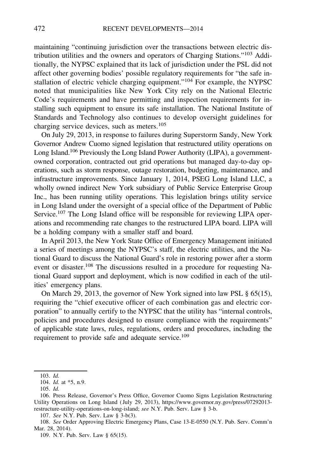maintaining "continuing jurisdiction over the transactions between electric distribution utilities and the owners and operators of Charging Stations."<sup>103</sup> Additionally, the NYPSC explained that its lack of jurisdiction under the PSL did not affect other governing bodies' possible regulatory requirements for "the safe installation of electric vehicle charging equipment."<sup>104</sup> For example, the NYPSC noted that municipalities like New York City rely on the National Electric Code's requirements and have permitting and inspection requirements for installing such equipment to ensure its safe installation. The National Institute of Standards and Technology also continues to develop oversight guidelines for charging service devices, such as meters.<sup>105</sup>

On July 29, 2013, in response to failures during Superstorm Sandy, New York Governor Andrew Cuomo signed legislation that restructured utility operations on Long Island.<sup>106</sup> Previously the Long Island Power Authority (LIPA), a governmentowned corporation, contracted out grid operations but managed day-to-day operations, such as storm response, outage restoration, budgeting, maintenance, and infrastructure improvements. Since January 1, 2014, PSEG Long Island LLC, a wholly owned indirect New York subsidiary of Public Service Enterprise Group Inc., has been running utility operations. This legislation brings utility service in Long Island under the oversight of a special office of the Department of Public Service.107 The Long Island office will be responsible for reviewing LIPA operations and recommending rate changes to the restructured LIPA board. LIPA will be a holding company with a smaller staff and board.

In April 2013, the New York State Office of Emergency Management initiated a series of meetings among the NYPSC's staff, the electric utilities, and the National Guard to discuss the National Guard's role in restoring power after a storm event or disaster.108 The discussions resulted in a procedure for requesting National Guard support and deployment, which is now codified in each of the utilities' emergency plans.

On March 29, 2013, the governor of New York signed into law PSL § 65(15), requiring the "chief executive officer of each combination gas and electric corporation" to annually certify to the NYPSC that the utility has "internal controls, policies and procedures designed to ensure compliance with the requirements" of applicable state laws, rules, regulations, orders and procedures, including the requirement to provide safe and adequate service.<sup>109</sup>

<sup>103.</sup> Id.

<sup>104.</sup> Id. at \*5, n.9.

<sup>105.</sup> Id.

<sup>106.</sup> Press Release, Governor's Press Office, Governor Cuomo Signs Legislation Restructuring Utility Operations on Long Island ( July 29, 2013), https://www.governor.ny.gov/press/07292013 restructure-utility-operations-on-long-island; see N.Y. Pub. Serv. Law § 3-b.

<sup>107.</sup> See N.Y. Pub. Serv. Law § 3-b(3).

<sup>108.</sup> See Order Approving Electric Emergency Plans, Case 13-E-0550 (N.Y. Pub. Serv. Comm'n Mar. 28, 2014).

<sup>109.</sup> N.Y. Pub. Serv. Law § 65(15).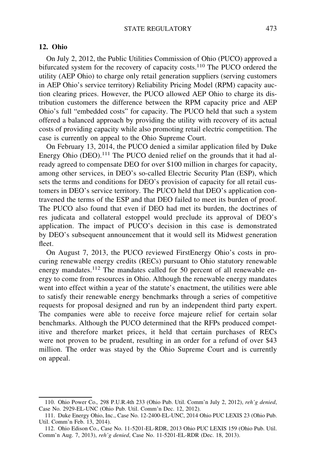### 12. Ohio

On July 2, 2012, the Public Utilities Commission of Ohio (PUCO) approved a bifurcated system for the recovery of capacity costs.<sup>110</sup> The PUCO ordered the utility (AEP Ohio) to charge only retail generation suppliers (serving customers in AEP Ohio's service territory) Reliability Pricing Model (RPM) capacity auction clearing prices. However, the PUCO allowed AEP Ohio to charge its distribution customers the difference between the RPM capacity price and AEP Ohio's full "embedded costs" for capacity. The PUCO held that such a system offered a balanced approach by providing the utility with recovery of its actual costs of providing capacity while also promoting retail electric competition. The case is currently on appeal to the Ohio Supreme Court.

On February 13, 2014, the PUCO denied a similar application filed by Duke Energy Ohio  $(DEO)$ .<sup>111</sup> The PUCO denied relief on the grounds that it had already agreed to compensate DEO for over \$100 million in charges for capacity, among other services, in DEO's so-called Electric Security Plan (ESP), which sets the terms and conditions for DEO's provision of capacity for all retail customers in DEO's service territory. The PUCO held that DEO's application contravened the terms of the ESP and that DEO failed to meet its burden of proof. The PUCO also found that even if DEO had met its burden, the doctrines of res judicata and collateral estoppel would preclude its approval of DEO's application. The impact of PUCO's decision in this case is demonstrated by DEO's subsequent announcement that it would sell its Midwest generation fleet.

On August 7, 2013, the PUCO reviewed FirstEnergy Ohio's costs in procuring renewable energy credits (RECs) pursuant to Ohio statutory renewable energy mandates.<sup>112</sup> The mandates called for 50 percent of all renewable energy to come from resources in Ohio. Although the renewable energy mandates went into effect within a year of the statute's enactment, the utilities were able to satisfy their renewable energy benchmarks through a series of competitive requests for proposal designed and run by an independent third party expert. The companies were able to receive force majeure relief for certain solar benchmarks. Although the PUCO determined that the RFPs produced competitive and therefore market prices, it held that certain purchases of RECs were not proven to be prudent, resulting in an order for a refund of over \$43 million. The order was stayed by the Ohio Supreme Court and is currently on appeal.

<sup>110.</sup> Ohio Power Co., 298 P.U.R.4th 233 (Ohio Pub. Util. Comm'n July 2, 2012), reh'g denied, Case No. 2929-EL-UNC (Ohio Pub. Util. Comm'n Dec. 12, 2012).

<sup>111.</sup> Duke Energy Ohio, Inc., Case No. 12-2400-EL-UNC, 2014 Ohio PUC LEXIS 23 (Ohio Pub. Util. Comm'n Feb. 13, 2014).

<sup>112.</sup> Ohio Edison Co., Case No. 11-5201-EL-RDR, 2013 Ohio PUC LEXIS 159 (Ohio Pub. Util. Comm'n Aug. 7, 2013), reh'g denied, Case No. 11-5201-EL-RDR (Dec. 18, 2013).